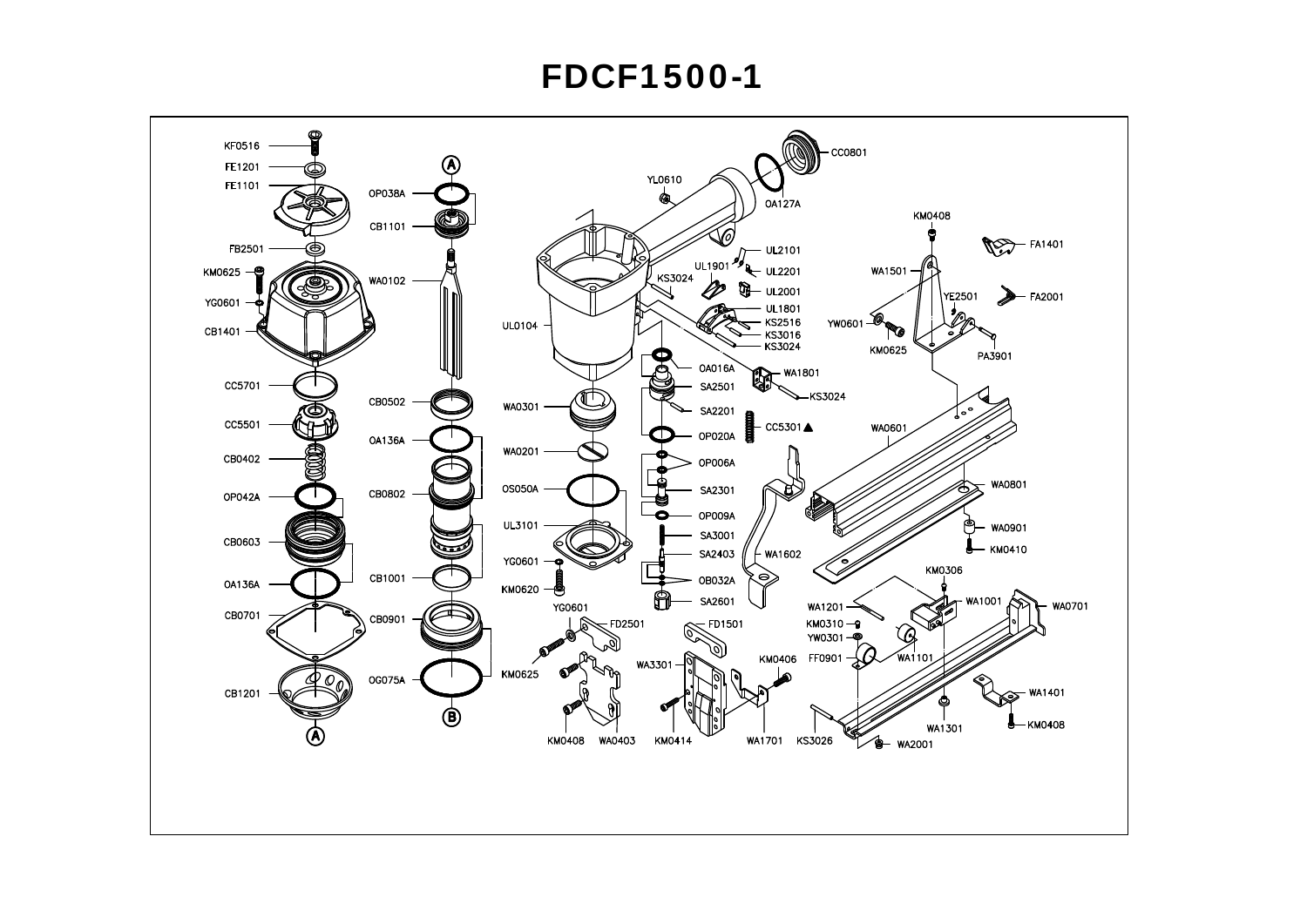## **FDCF1500-1**

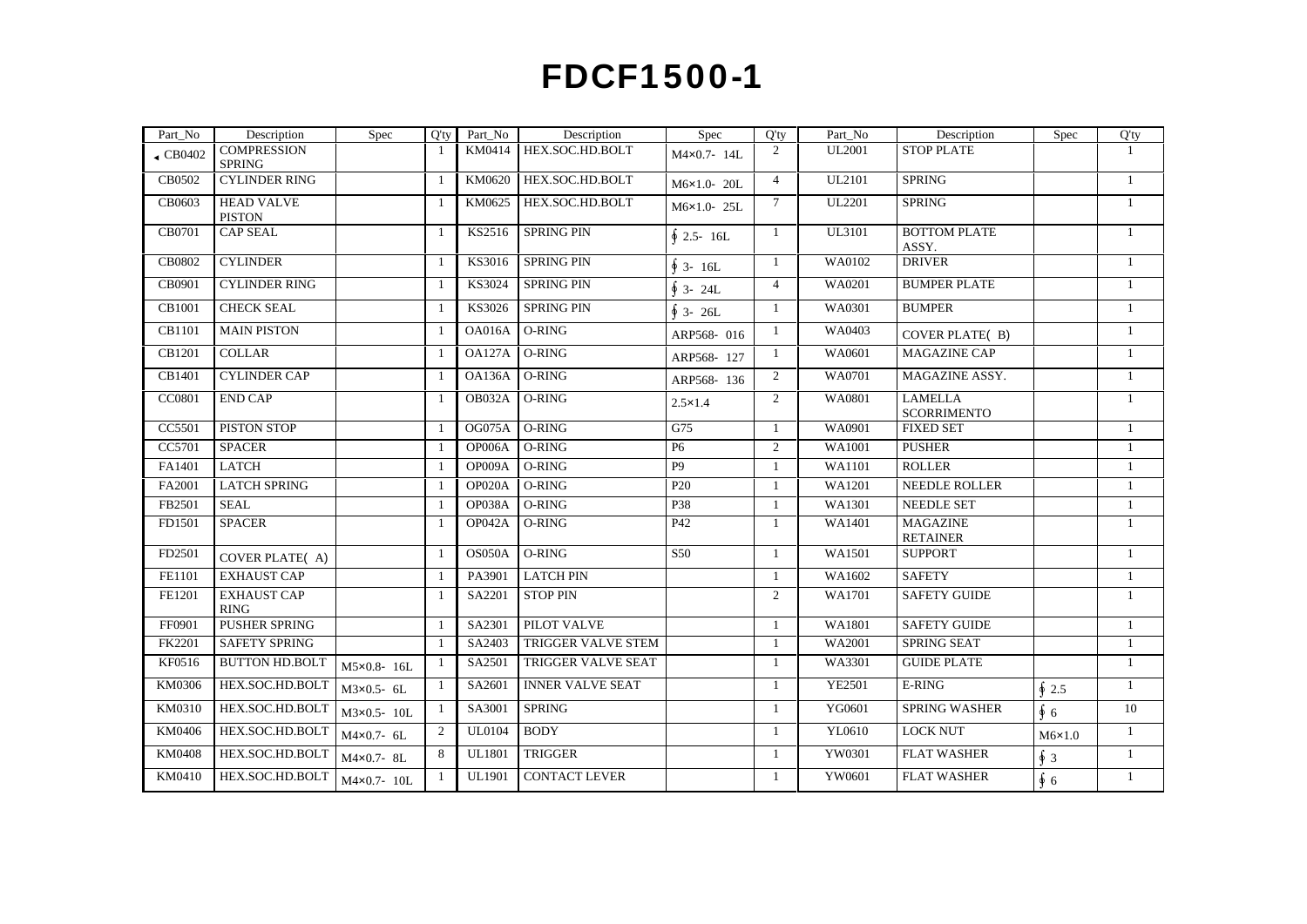## **FDCF1500-1**

| KM0414 HEX.SOC.HD.BOLT<br>UL2001<br><b>STOP PLATE</b><br>$\left\vert \text{CB0402}\right\vert$ COMPRESSION<br>$M4 \times 0.7 - 14L$<br><b>SPRING</b><br>CB0502 CYLINDER RING<br>KM0620 HEX.SOC.HD.BOLT<br>UL2101<br>SPRING<br>M6×1.0-20L<br>CB0603 HEAD VALVE<br>KM0625 HEX.SOC.HD.BOLT<br>UL2201<br><b>SPRING</b><br>M6×1.0-25L<br><b>PISTON</b><br>$CB0701$ CAP SEAL<br>$KS2516$ SPRING PIN<br><b>BOTTOM PLATE</b><br>UL3101<br>$\oint 2.5 - 16L$<br>ASSY.<br>CB0802 CYLINDER<br>$KS3016$ SPRING PIN<br>WA0102<br><b>DRIVER</b><br>$\oint$ 3- 16L<br>CB0901 CYLINDER RING<br>KS3024 SPRING PIN<br>WA0201<br><b>BUMPER PLATE</b><br>$\oint$ 3- 24L<br>CB1001 CHECK SEAL<br>KS3026 SPRING PIN<br><b>BUMPER</b><br>WA0301<br>$\oint 3 - 26L$<br>CB1101 MAIN PISTON<br>1   OA016A   O-RING<br>WA0403<br>$\frac{1}{2}$<br>ARP568-016<br>COVER PLATE(B)<br>$CB1201$ COLLAR<br>$1$ OA127A O-RING<br>WA0601<br>MAGAZINE CAP<br>$\frac{1}{2}$<br>ARP568-127<br>$CB1401$ CYLINDER CAP<br>$1$ OA136A O-RING<br>MAGAZINE ASSY.<br>WA0701<br>$\frac{1}{2}$<br>ARP568-136<br>CC0801 END CAP<br>OB032A O-RING<br>LAMELLA<br>WA0801<br>$\frac{1}{2}$<br>$2.5 \times 1.4$<br>SCORRIMENTO<br>CC5501 PISTON STOP<br>OG075A O-RING<br>G75<br>WA0901<br><b>FIXED SET</b><br>$\mathbf{1}$<br>______<br>CC5701 SPACER<br>OP006A O-RING<br>WA1001<br><b>PUSHER</b><br>$\frac{1}{2}$<br><b>Contract Contract</b><br>FA1401 LATCH<br>OP009A O-RING<br>ROLLER<br>WA1101<br>$\mathbf{1}$<br>FA2001 LATCH SPRING<br>$OP020A$ O-RING<br>WA1201<br>NEEDLE ROLLER<br>P20<br>$\sim$ 1<br>FB2501 SEAL<br>OP038A   O-RING<br>P38<br><b>NEEDLE SET</b><br>WA1301<br>$\frac{1}{2}$<br>P42<br><b>MAGAZINE</b><br>FD1501 SPACER<br>OP042A O-RING<br>WA1401<br>$\sim$ 1<br>RETAINER<br>FD2501 COVER PLATE(/<br>WA1501<br>$1$   OS050A   O-RING<br>S50 —<br>  SUPPORT<br>$\frac{1}{2}$<br>$F E1101$ EXHAUST CAP<br>1 PA3901 LATCH PIN<br>WA1602<br><b>SAFETY</b><br>$\sim$ 1<br>FE1201 EXHAUST CAP<br>$S_A2201$ STOP PIN<br>WA1701<br>  SAFETY GUIDE<br>$\frac{1}{2}$<br><b>RING</b><br>FF0901 PUSHER SPRING<br>SA2301 PILOT VALVE<br><b>SAFETY GUIDE</b><br>WA1801<br>FK2201 SAFETY SPRING<br>SA2403   TRIGGER VALVE STEM<br>WA2001<br>SPRING SEAT<br>$\frac{1}{2}$<br>$\overline{\text{KF}}$ 0516   BUTTON HD.BOLT   M5×0.8-16L<br>SA2501   TRIGGER VALVE SEAT<br>WA3301<br><b>GUIDE PLATE</b><br>$\frac{1}{2}$<br>$\overline{\text{KM}}$ 0306   HEX.SOC.HD.BOLT   M3x0.5- 6L<br>SA2601 INNER VALVE SEAT<br><b>E-RING</b><br>YE2501<br>$\frac{1}{2}$<br>$\oint 2.5$<br>$\overline{\text{KM}}$ 0310   HEX.SOC.HD.BOLT   M3×0.5-10L<br>10<br>SA3001 SPRING<br>YG0601<br><b>SPRING WASHER</b><br>Ф6.<br>$\overline{\text{KM}}$ 0406   HEX.SOC.HD.BOLT   M4 $\texttt{x}$ 0.7-6L<br>$UL0104$ BODY<br>YL0610<br>LOCK NUT<br>$M6\times1.0$<br>$KM0408$ HEX.SOC.HD.BOLT $M4 \times 0.7 - 8$ L<br>YW0301<br>8 UL1801 TRIGGER<br><b>FLAT WASHER</b><br>$\mathbf{1}$<br>YW0601<br><b>FLAT WASHER</b> | Part_No | Description | Spec | Part_No | Description | <b>Spec</b> | Part No | Description | Spec | $Q'$ ty |
|------------------------------------------------------------------------------------------------------------------------------------------------------------------------------------------------------------------------------------------------------------------------------------------------------------------------------------------------------------------------------------------------------------------------------------------------------------------------------------------------------------------------------------------------------------------------------------------------------------------------------------------------------------------------------------------------------------------------------------------------------------------------------------------------------------------------------------------------------------------------------------------------------------------------------------------------------------------------------------------------------------------------------------------------------------------------------------------------------------------------------------------------------------------------------------------------------------------------------------------------------------------------------------------------------------------------------------------------------------------------------------------------------------------------------------------------------------------------------------------------------------------------------------------------------------------------------------------------------------------------------------------------------------------------------------------------------------------------------------------------------------------------------------------------------------------------------------------------------------------------------------------------------------------------------------------------------------------------------------------------------------------------------------------------------------------------------------------------------------------------------------------------------------------------------------------------------------------------------------------------------------------------------------------------------------------------------------------------------------------------------------------------------------------------------------------------------------------------------------------------------------------------------------------------------------------------------------------------------------------------------------------------------------------------------------------------------------------------------------------------------------------------------------------------------------------------------------------------------------------------------------------------------------------------------------------------------|---------|-------------|------|---------|-------------|-------------|---------|-------------|------|---------|
|                                                                                                                                                                                                                                                                                                                                                                                                                                                                                                                                                                                                                                                                                                                                                                                                                                                                                                                                                                                                                                                                                                                                                                                                                                                                                                                                                                                                                                                                                                                                                                                                                                                                                                                                                                                                                                                                                                                                                                                                                                                                                                                                                                                                                                                                                                                                                                                                                                                                                                                                                                                                                                                                                                                                                                                                                                                                                                                                                      |         |             |      |         |             |             |         |             |      |         |
|                                                                                                                                                                                                                                                                                                                                                                                                                                                                                                                                                                                                                                                                                                                                                                                                                                                                                                                                                                                                                                                                                                                                                                                                                                                                                                                                                                                                                                                                                                                                                                                                                                                                                                                                                                                                                                                                                                                                                                                                                                                                                                                                                                                                                                                                                                                                                                                                                                                                                                                                                                                                                                                                                                                                                                                                                                                                                                                                                      |         |             |      |         |             |             |         |             |      |         |
|                                                                                                                                                                                                                                                                                                                                                                                                                                                                                                                                                                                                                                                                                                                                                                                                                                                                                                                                                                                                                                                                                                                                                                                                                                                                                                                                                                                                                                                                                                                                                                                                                                                                                                                                                                                                                                                                                                                                                                                                                                                                                                                                                                                                                                                                                                                                                                                                                                                                                                                                                                                                                                                                                                                                                                                                                                                                                                                                                      |         |             |      |         |             |             |         |             |      |         |
|                                                                                                                                                                                                                                                                                                                                                                                                                                                                                                                                                                                                                                                                                                                                                                                                                                                                                                                                                                                                                                                                                                                                                                                                                                                                                                                                                                                                                                                                                                                                                                                                                                                                                                                                                                                                                                                                                                                                                                                                                                                                                                                                                                                                                                                                                                                                                                                                                                                                                                                                                                                                                                                                                                                                                                                                                                                                                                                                                      |         |             |      |         |             |             |         |             |      |         |
|                                                                                                                                                                                                                                                                                                                                                                                                                                                                                                                                                                                                                                                                                                                                                                                                                                                                                                                                                                                                                                                                                                                                                                                                                                                                                                                                                                                                                                                                                                                                                                                                                                                                                                                                                                                                                                                                                                                                                                                                                                                                                                                                                                                                                                                                                                                                                                                                                                                                                                                                                                                                                                                                                                                                                                                                                                                                                                                                                      |         |             |      |         |             |             |         |             |      |         |
|                                                                                                                                                                                                                                                                                                                                                                                                                                                                                                                                                                                                                                                                                                                                                                                                                                                                                                                                                                                                                                                                                                                                                                                                                                                                                                                                                                                                                                                                                                                                                                                                                                                                                                                                                                                                                                                                                                                                                                                                                                                                                                                                                                                                                                                                                                                                                                                                                                                                                                                                                                                                                                                                                                                                                                                                                                                                                                                                                      |         |             |      |         |             |             |         |             |      |         |
|                                                                                                                                                                                                                                                                                                                                                                                                                                                                                                                                                                                                                                                                                                                                                                                                                                                                                                                                                                                                                                                                                                                                                                                                                                                                                                                                                                                                                                                                                                                                                                                                                                                                                                                                                                                                                                                                                                                                                                                                                                                                                                                                                                                                                                                                                                                                                                                                                                                                                                                                                                                                                                                                                                                                                                                                                                                                                                                                                      |         |             |      |         |             |             |         |             |      |         |
|                                                                                                                                                                                                                                                                                                                                                                                                                                                                                                                                                                                                                                                                                                                                                                                                                                                                                                                                                                                                                                                                                                                                                                                                                                                                                                                                                                                                                                                                                                                                                                                                                                                                                                                                                                                                                                                                                                                                                                                                                                                                                                                                                                                                                                                                                                                                                                                                                                                                                                                                                                                                                                                                                                                                                                                                                                                                                                                                                      |         |             |      |         |             |             |         |             |      |         |
|                                                                                                                                                                                                                                                                                                                                                                                                                                                                                                                                                                                                                                                                                                                                                                                                                                                                                                                                                                                                                                                                                                                                                                                                                                                                                                                                                                                                                                                                                                                                                                                                                                                                                                                                                                                                                                                                                                                                                                                                                                                                                                                                                                                                                                                                                                                                                                                                                                                                                                                                                                                                                                                                                                                                                                                                                                                                                                                                                      |         |             |      |         |             |             |         |             |      |         |
|                                                                                                                                                                                                                                                                                                                                                                                                                                                                                                                                                                                                                                                                                                                                                                                                                                                                                                                                                                                                                                                                                                                                                                                                                                                                                                                                                                                                                                                                                                                                                                                                                                                                                                                                                                                                                                                                                                                                                                                                                                                                                                                                                                                                                                                                                                                                                                                                                                                                                                                                                                                                                                                                                                                                                                                                                                                                                                                                                      |         |             |      |         |             |             |         |             |      |         |
|                                                                                                                                                                                                                                                                                                                                                                                                                                                                                                                                                                                                                                                                                                                                                                                                                                                                                                                                                                                                                                                                                                                                                                                                                                                                                                                                                                                                                                                                                                                                                                                                                                                                                                                                                                                                                                                                                                                                                                                                                                                                                                                                                                                                                                                                                                                                                                                                                                                                                                                                                                                                                                                                                                                                                                                                                                                                                                                                                      |         |             |      |         |             |             |         |             |      |         |
|                                                                                                                                                                                                                                                                                                                                                                                                                                                                                                                                                                                                                                                                                                                                                                                                                                                                                                                                                                                                                                                                                                                                                                                                                                                                                                                                                                                                                                                                                                                                                                                                                                                                                                                                                                                                                                                                                                                                                                                                                                                                                                                                                                                                                                                                                                                                                                                                                                                                                                                                                                                                                                                                                                                                                                                                                                                                                                                                                      |         |             |      |         |             |             |         |             |      |         |
|                                                                                                                                                                                                                                                                                                                                                                                                                                                                                                                                                                                                                                                                                                                                                                                                                                                                                                                                                                                                                                                                                                                                                                                                                                                                                                                                                                                                                                                                                                                                                                                                                                                                                                                                                                                                                                                                                                                                                                                                                                                                                                                                                                                                                                                                                                                                                                                                                                                                                                                                                                                                                                                                                                                                                                                                                                                                                                                                                      |         |             |      |         |             |             |         |             |      |         |
|                                                                                                                                                                                                                                                                                                                                                                                                                                                                                                                                                                                                                                                                                                                                                                                                                                                                                                                                                                                                                                                                                                                                                                                                                                                                                                                                                                                                                                                                                                                                                                                                                                                                                                                                                                                                                                                                                                                                                                                                                                                                                                                                                                                                                                                                                                                                                                                                                                                                                                                                                                                                                                                                                                                                                                                                                                                                                                                                                      |         |             |      |         |             |             |         |             |      |         |
|                                                                                                                                                                                                                                                                                                                                                                                                                                                                                                                                                                                                                                                                                                                                                                                                                                                                                                                                                                                                                                                                                                                                                                                                                                                                                                                                                                                                                                                                                                                                                                                                                                                                                                                                                                                                                                                                                                                                                                                                                                                                                                                                                                                                                                                                                                                                                                                                                                                                                                                                                                                                                                                                                                                                                                                                                                                                                                                                                      |         |             |      |         |             |             |         |             |      |         |
|                                                                                                                                                                                                                                                                                                                                                                                                                                                                                                                                                                                                                                                                                                                                                                                                                                                                                                                                                                                                                                                                                                                                                                                                                                                                                                                                                                                                                                                                                                                                                                                                                                                                                                                                                                                                                                                                                                                                                                                                                                                                                                                                                                                                                                                                                                                                                                                                                                                                                                                                                                                                                                                                                                                                                                                                                                                                                                                                                      |         |             |      |         |             |             |         |             |      |         |
|                                                                                                                                                                                                                                                                                                                                                                                                                                                                                                                                                                                                                                                                                                                                                                                                                                                                                                                                                                                                                                                                                                                                                                                                                                                                                                                                                                                                                                                                                                                                                                                                                                                                                                                                                                                                                                                                                                                                                                                                                                                                                                                                                                                                                                                                                                                                                                                                                                                                                                                                                                                                                                                                                                                                                                                                                                                                                                                                                      |         |             |      |         |             |             |         |             |      |         |
|                                                                                                                                                                                                                                                                                                                                                                                                                                                                                                                                                                                                                                                                                                                                                                                                                                                                                                                                                                                                                                                                                                                                                                                                                                                                                                                                                                                                                                                                                                                                                                                                                                                                                                                                                                                                                                                                                                                                                                                                                                                                                                                                                                                                                                                                                                                                                                                                                                                                                                                                                                                                                                                                                                                                                                                                                                                                                                                                                      |         |             |      |         |             |             |         |             |      |         |
|                                                                                                                                                                                                                                                                                                                                                                                                                                                                                                                                                                                                                                                                                                                                                                                                                                                                                                                                                                                                                                                                                                                                                                                                                                                                                                                                                                                                                                                                                                                                                                                                                                                                                                                                                                                                                                                                                                                                                                                                                                                                                                                                                                                                                                                                                                                                                                                                                                                                                                                                                                                                                                                                                                                                                                                                                                                                                                                                                      |         |             |      |         |             |             |         |             |      |         |
|                                                                                                                                                                                                                                                                                                                                                                                                                                                                                                                                                                                                                                                                                                                                                                                                                                                                                                                                                                                                                                                                                                                                                                                                                                                                                                                                                                                                                                                                                                                                                                                                                                                                                                                                                                                                                                                                                                                                                                                                                                                                                                                                                                                                                                                                                                                                                                                                                                                                                                                                                                                                                                                                                                                                                                                                                                                                                                                                                      |         |             |      |         |             |             |         |             |      |         |
|                                                                                                                                                                                                                                                                                                                                                                                                                                                                                                                                                                                                                                                                                                                                                                                                                                                                                                                                                                                                                                                                                                                                                                                                                                                                                                                                                                                                                                                                                                                                                                                                                                                                                                                                                                                                                                                                                                                                                                                                                                                                                                                                                                                                                                                                                                                                                                                                                                                                                                                                                                                                                                                                                                                                                                                                                                                                                                                                                      |         |             |      |         |             |             |         |             |      |         |
|                                                                                                                                                                                                                                                                                                                                                                                                                                                                                                                                                                                                                                                                                                                                                                                                                                                                                                                                                                                                                                                                                                                                                                                                                                                                                                                                                                                                                                                                                                                                                                                                                                                                                                                                                                                                                                                                                                                                                                                                                                                                                                                                                                                                                                                                                                                                                                                                                                                                                                                                                                                                                                                                                                                                                                                                                                                                                                                                                      |         |             |      |         |             |             |         |             |      |         |
|                                                                                                                                                                                                                                                                                                                                                                                                                                                                                                                                                                                                                                                                                                                                                                                                                                                                                                                                                                                                                                                                                                                                                                                                                                                                                                                                                                                                                                                                                                                                                                                                                                                                                                                                                                                                                                                                                                                                                                                                                                                                                                                                                                                                                                                                                                                                                                                                                                                                                                                                                                                                                                                                                                                                                                                                                                                                                                                                                      |         |             |      |         |             |             |         |             |      |         |
|                                                                                                                                                                                                                                                                                                                                                                                                                                                                                                                                                                                                                                                                                                                                                                                                                                                                                                                                                                                                                                                                                                                                                                                                                                                                                                                                                                                                                                                                                                                                                                                                                                                                                                                                                                                                                                                                                                                                                                                                                                                                                                                                                                                                                                                                                                                                                                                                                                                                                                                                                                                                                                                                                                                                                                                                                                                                                                                                                      |         |             |      |         |             |             |         |             |      |         |
|                                                                                                                                                                                                                                                                                                                                                                                                                                                                                                                                                                                                                                                                                                                                                                                                                                                                                                                                                                                                                                                                                                                                                                                                                                                                                                                                                                                                                                                                                                                                                                                                                                                                                                                                                                                                                                                                                                                                                                                                                                                                                                                                                                                                                                                                                                                                                                                                                                                                                                                                                                                                                                                                                                                                                                                                                                                                                                                                                      |         |             |      |         |             |             |         |             |      |         |
|                                                                                                                                                                                                                                                                                                                                                                                                                                                                                                                                                                                                                                                                                                                                                                                                                                                                                                                                                                                                                                                                                                                                                                                                                                                                                                                                                                                                                                                                                                                                                                                                                                                                                                                                                                                                                                                                                                                                                                                                                                                                                                                                                                                                                                                                                                                                                                                                                                                                                                                                                                                                                                                                                                                                                                                                                                                                                                                                                      |         |             |      |         |             |             |         |             |      |         |
|                                                                                                                                                                                                                                                                                                                                                                                                                                                                                                                                                                                                                                                                                                                                                                                                                                                                                                                                                                                                                                                                                                                                                                                                                                                                                                                                                                                                                                                                                                                                                                                                                                                                                                                                                                                                                                                                                                                                                                                                                                                                                                                                                                                                                                                                                                                                                                                                                                                                                                                                                                                                                                                                                                                                                                                                                                                                                                                                                      |         |             |      |         |             |             |         |             |      |         |
|                                                                                                                                                                                                                                                                                                                                                                                                                                                                                                                                                                                                                                                                                                                                                                                                                                                                                                                                                                                                                                                                                                                                                                                                                                                                                                                                                                                                                                                                                                                                                                                                                                                                                                                                                                                                                                                                                                                                                                                                                                                                                                                                                                                                                                                                                                                                                                                                                                                                                                                                                                                                                                                                                                                                                                                                                                                                                                                                                      |         |             |      |         |             |             |         |             |      |         |
|                                                                                                                                                                                                                                                                                                                                                                                                                                                                                                                                                                                                                                                                                                                                                                                                                                                                                                                                                                                                                                                                                                                                                                                                                                                                                                                                                                                                                                                                                                                                                                                                                                                                                                                                                                                                                                                                                                                                                                                                                                                                                                                                                                                                                                                                                                                                                                                                                                                                                                                                                                                                                                                                                                                                                                                                                                                                                                                                                      |         |             |      |         |             |             |         |             |      |         |
|                                                                                                                                                                                                                                                                                                                                                                                                                                                                                                                                                                                                                                                                                                                                                                                                                                                                                                                                                                                                                                                                                                                                                                                                                                                                                                                                                                                                                                                                                                                                                                                                                                                                                                                                                                                                                                                                                                                                                                                                                                                                                                                                                                                                                                                                                                                                                                                                                                                                                                                                                                                                                                                                                                                                                                                                                                                                                                                                                      |         |             |      |         |             |             |         |             |      |         |
|                                                                                                                                                                                                                                                                                                                                                                                                                                                                                                                                                                                                                                                                                                                                                                                                                                                                                                                                                                                                                                                                                                                                                                                                                                                                                                                                                                                                                                                                                                                                                                                                                                                                                                                                                                                                                                                                                                                                                                                                                                                                                                                                                                                                                                                                                                                                                                                                                                                                                                                                                                                                                                                                                                                                                                                                                                                                                                                                                      |         |             |      |         |             |             |         |             |      |         |
|                                                                                                                                                                                                                                                                                                                                                                                                                                                                                                                                                                                                                                                                                                                                                                                                                                                                                                                                                                                                                                                                                                                                                                                                                                                                                                                                                                                                                                                                                                                                                                                                                                                                                                                                                                                                                                                                                                                                                                                                                                                                                                                                                                                                                                                                                                                                                                                                                                                                                                                                                                                                                                                                                                                                                                                                                                                                                                                                                      |         |             |      |         |             |             |         |             |      |         |
|                                                                                                                                                                                                                                                                                                                                                                                                                                                                                                                                                                                                                                                                                                                                                                                                                                                                                                                                                                                                                                                                                                                                                                                                                                                                                                                                                                                                                                                                                                                                                                                                                                                                                                                                                                                                                                                                                                                                                                                                                                                                                                                                                                                                                                                                                                                                                                                                                                                                                                                                                                                                                                                                                                                                                                                                                                                                                                                                                      |         |             |      |         |             |             |         |             |      |         |
|                                                                                                                                                                                                                                                                                                                                                                                                                                                                                                                                                                                                                                                                                                                                                                                                                                                                                                                                                                                                                                                                                                                                                                                                                                                                                                                                                                                                                                                                                                                                                                                                                                                                                                                                                                                                                                                                                                                                                                                                                                                                                                                                                                                                                                                                                                                                                                                                                                                                                                                                                                                                                                                                                                                                                                                                                                                                                                                                                      |         |             |      |         |             |             |         |             |      |         |